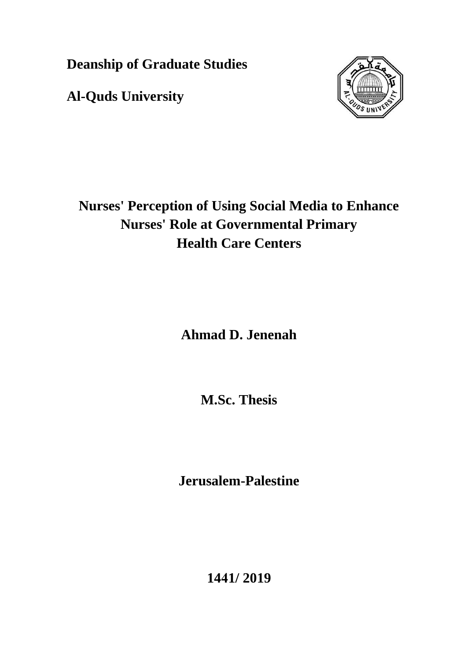**Deanship of Graduate Studies** 

**Al-Quds University**



#### **Nurses' Perception of Using Social Media to Enhance Nurses' Role at Governmental Primary Health Care Centers**

**Ahmad D. Jenenah**

**M.Sc. Thesis**

**Jerusalem-Palestine**

**1441/ 2019**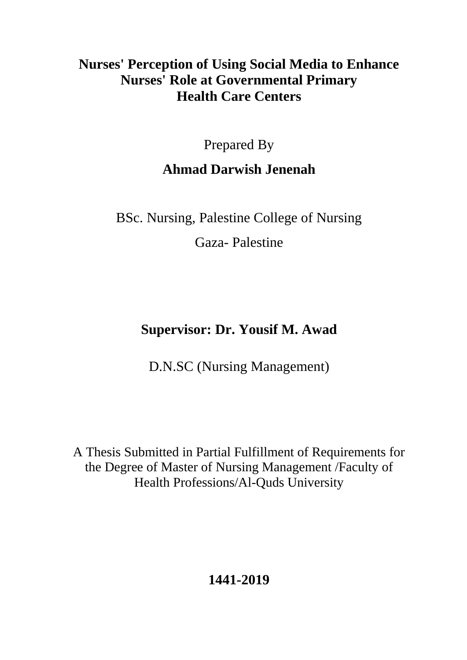#### **Nurses' Perception of Using Social Media to Enhance Nurses' Role at Governmental Primary Health Care Centers**

Prepared By

#### **Ahmad Darwish Jenenah**

BSc. Nursing, Palestine College of Nursing

Gaza- Palestine

#### **Supervisor: Dr. Yousif M. Awad**

D.N.SC (Nursing Management)

A Thesis Submitted in Partial Fulfillment of Requirements for the Degree of Master of Nursing Management /Faculty of Health Professions/Al-Quds University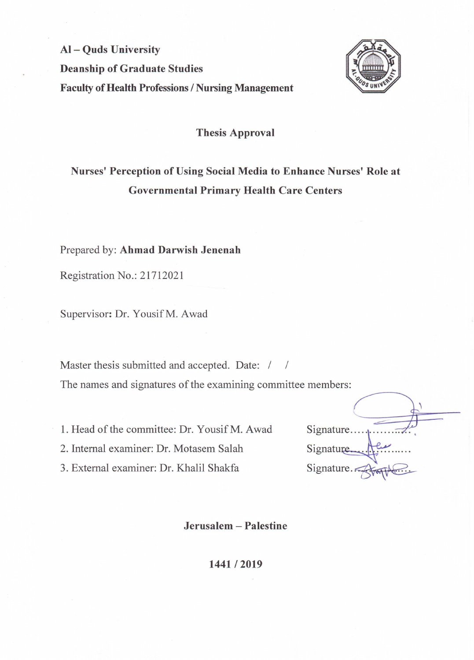## Al – Quds University **Deanship of Graduate Studies Faculty of Health Professions / Nursing Management**



## **Thesis Approval**

Nurses' Perception of Using Social Media to Enhance Nurses' Role at

# **Governmental Primary Health Care Centers**

## Prepared by: Ahmad Darwish Jenenah

Registration No.: 21712021

Supervisor: Dr. Yousif M. Awad

Master thesis submitted and accepted. Date: / /

The names and signatures of the examining committee members:

1. Head of the committee: Dr. Yousif M. Awad 2. Internal examiner: Dr. Motasem Salah 3. External examiner: Dr. Khalil Shakfa

Signature.... Signature... Signature.

Jerusalem – Palestine

### 1441/2019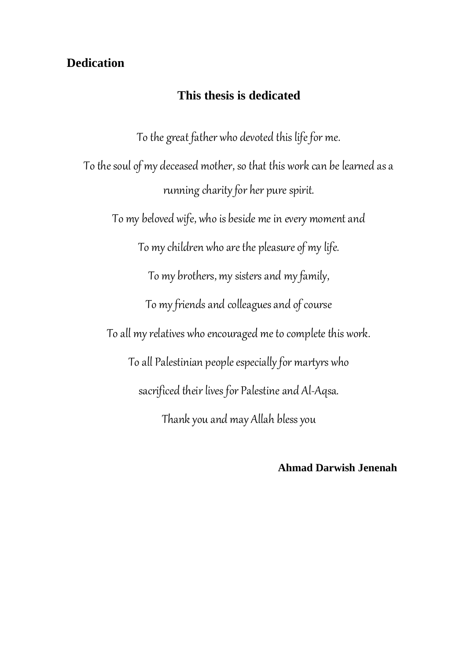#### <span id="page-3-0"></span>**Dedication**

#### **This thesis is dedicated**

To the great father who devoted this life for me.

To the soul of my deceased mother, so that this work can be learned as a running charity for her pure spirit.

To my beloved wife, who is beside me in every moment and

To my children who are the pleasure of my life.

To my brothers, my sisters and my family,

To my friends and colleagues and of course

To all my relatives who encouraged me to complete this work.

To all Palestinian people especially for martyrs who

sacrificed their lives for Palestine and Al-Aqsa.

Thank you and may Allah bless you

 **Ahmad Darwish Jenenah**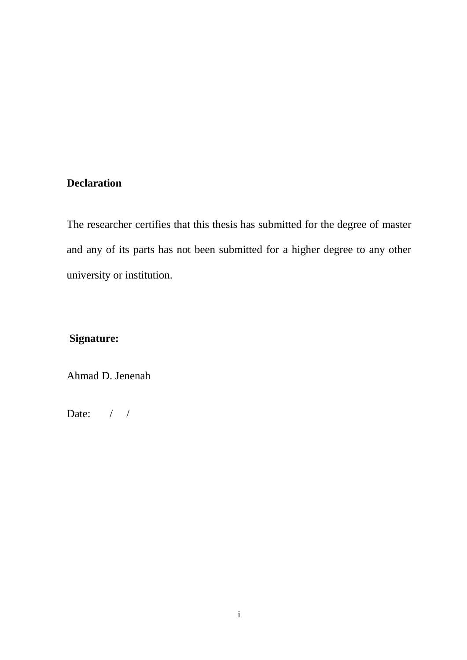#### <span id="page-4-0"></span>**Declaration**

The researcher certifies that this thesis has submitted for the degree of master and any of its parts has not been submitted for a higher degree to any other university or institution.

#### **Signature:**

Ahmad D. Jenenah

Date: / /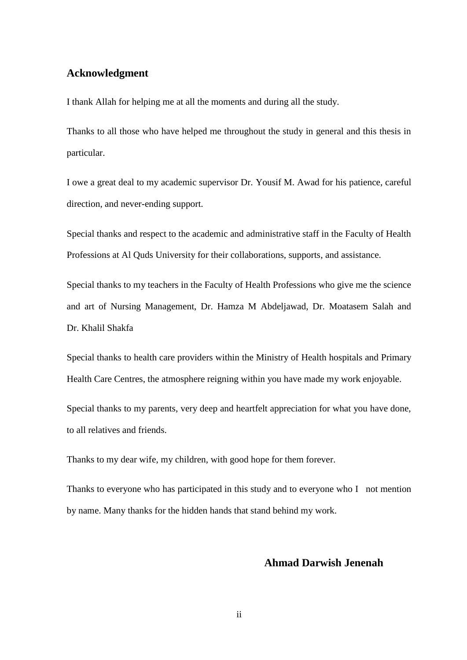#### <span id="page-5-0"></span>**Acknowledgment**

I thank Allah for helping me at all the moments and during all the study.

Thanks to all those who have helped me throughout the study in general and this thesis in particular.

I owe a great deal to my academic supervisor Dr. Yousif M. Awad for his patience, careful direction, and never-ending support.

Special thanks and respect to the academic and administrative staff in the Faculty of Health Professions at Al Quds University for their collaborations, supports, and assistance.

Special thanks to my teachers in the Faculty of Health Professions who give me the science and art of Nursing Management, Dr. Hamza M Abdeljawad, Dr. Moatasem Salah and Dr. Khalil Shakfa

Special thanks to health care providers within the Ministry of Health hospitals and Primary Health Care Centres, the atmosphere reigning within you have made my work enjoyable.

Special thanks to my parents, very deep and heartfelt appreciation for what you have done, to all relatives and friends.

Thanks to my dear wife, my children, with good hope for them forever.

Thanks to everyone who has participated in this study and to everyone who I not mention by name. Many thanks for the hidden hands that stand behind my work.

#### **Ahmad Darwish Jenenah**

ii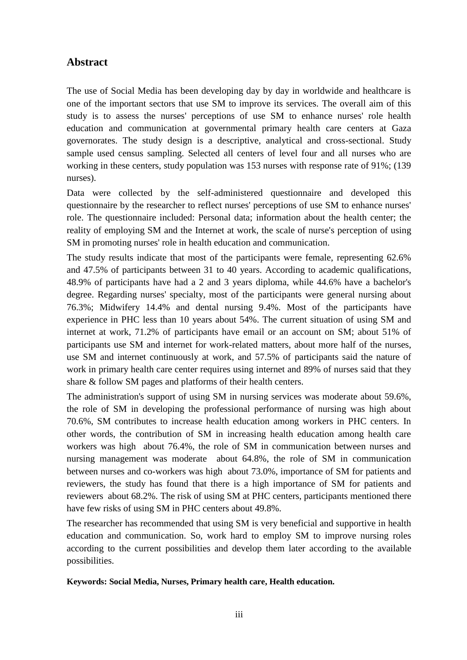#### <span id="page-6-0"></span>**Abstract**

The use of Social Media has been developing day by day in worldwide and healthcare is one of the important sectors that use SM to improve its services. The overall aim of this study is to assess the nurses' perceptions of use SM to enhance nurses' role health education and communication at governmental primary health care centers at Gaza governorates. The study design is a descriptive, analytical and cross-sectional. Study sample used census sampling. Selected all centers of level four and all nurses who are working in these centers, study population was 153 nurses with response rate of 91%; (139 nurses).

Data were collected by the self-administered questionnaire and developed this questionnaire by the researcher to reflect nurses' perceptions of use SM to enhance nurses' role. The questionnaire included: Personal data; information about the health center; the reality of employing SM and the Internet at work, the scale of nurse's perception of using SM in promoting nurses' role in health education and communication.

The study results indicate that most of the participants were female, representing 62.6% and 47.5% of participants between 31 to 40 years. According to academic qualifications, 48.9% of participants have had a 2 and 3 years diploma, while 44.6% have a bachelor's degree. Regarding nurses' specialty, most of the participants were general nursing about 76.3%; Midwifery 14.4% and dental nursing 9.4%. Most of the participants have experience in PHC less than 10 years about 54%. The current situation of using SM and internet at work, 71.2% of participants have email or an account on SM; about 51% of participants use SM and internet for work-related matters, about more half of the nurses, use SM and internet continuously at work, and 57.5% of participants said the nature of work in primary health care center requires using internet and 89% of nurses said that they share & follow SM pages and platforms of their health centers.

The administration's support of using SM in nursing services was moderate about 59.6%, the role of SM in developing the professional performance of nursing was high about 70.6%, SM contributes to increase health education among workers in PHC centers. In other words, the contribution of SM in increasing health education among health care workers was high about 76.4%, the role of SM in communication between nurses and nursing management was moderate about 64.8%, the role of SM in communication between nurses and co-workers was high about 73.0%, importance of SM for patients and reviewers, the study has found that there is a high importance of SM for patients and reviewers about 68.2%. The risk of using SM at PHC centers, participants mentioned there have few risks of using SM in PHC centers about 49.8%.

The researcher has recommended that using SM is very beneficial and supportive in health education and communication. So, work hard to employ SM to improve nursing roles according to the current possibilities and develop them later according to the available possibilities.

#### **Keywords: Social Media, Nurses, Primary health care, Health education.**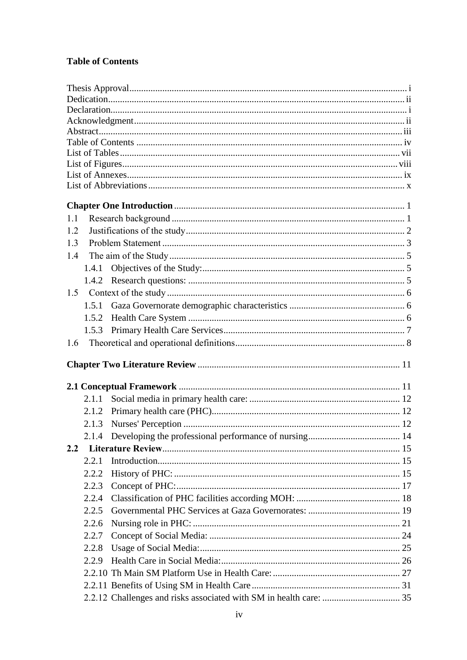#### <span id="page-7-0"></span>**Table of Contents**

| 1.1 |       |  |
|-----|-------|--|
| 1.2 |       |  |
| 1.3 |       |  |
| 1.4 |       |  |
|     | 1.4.1 |  |
|     | 1.4.2 |  |
| 1.5 |       |  |
|     | 1.5.1 |  |
|     | 1.5.2 |  |
|     | 1.5.3 |  |
| 1.6 |       |  |
|     |       |  |
|     |       |  |
|     |       |  |
|     | 2.1.1 |  |
|     | 2.1.2 |  |
|     | 2.1.3 |  |
|     |       |  |
| 2.2 |       |  |
|     | 2.2.1 |  |
|     | 2.2.2 |  |
|     | 2.2.3 |  |
|     | 2.2.4 |  |
|     | 2.2.5 |  |
|     |       |  |
|     |       |  |
|     | 2.2.6 |  |
|     | 2.2.7 |  |
|     | 2.2.8 |  |
|     | 2.2.9 |  |
|     |       |  |
|     |       |  |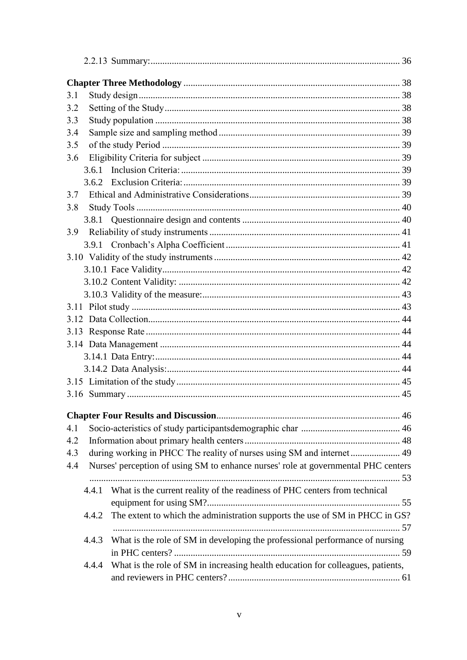| 3.1 |       |                                                                                    |  |
|-----|-------|------------------------------------------------------------------------------------|--|
| 3.2 |       |                                                                                    |  |
| 3.3 |       |                                                                                    |  |
| 3.4 |       |                                                                                    |  |
| 3.5 |       |                                                                                    |  |
| 3.6 |       |                                                                                    |  |
|     | 3.6.1 |                                                                                    |  |
|     | 3.6.2 |                                                                                    |  |
| 3.7 |       |                                                                                    |  |
| 3.8 |       |                                                                                    |  |
|     |       |                                                                                    |  |
| 3.9 |       |                                                                                    |  |
|     |       |                                                                                    |  |
|     |       |                                                                                    |  |
|     |       |                                                                                    |  |
|     |       |                                                                                    |  |
|     |       |                                                                                    |  |
|     |       |                                                                                    |  |
|     |       |                                                                                    |  |
|     |       |                                                                                    |  |
|     |       |                                                                                    |  |
|     |       |                                                                                    |  |
|     |       |                                                                                    |  |
|     |       |                                                                                    |  |
|     |       |                                                                                    |  |
|     |       |                                                                                    |  |
|     |       |                                                                                    |  |
| 4.1 |       |                                                                                    |  |
| 4.2 |       |                                                                                    |  |
| 4.3 |       | during working in PHCC The reality of nurses using SM and internet 49              |  |
| 4.4 |       | Nurses' perception of using SM to enhance nurses' role at governmental PHC centers |  |
|     |       |                                                                                    |  |
|     |       | 4.4.1 What is the current reality of the readiness of PHC centers from technical   |  |
|     |       |                                                                                    |  |
|     | 4.4.2 | The extent to which the administration supports the use of SM in PHCC in GS?       |  |
|     |       |                                                                                    |  |
|     | 4.4.3 | What is the role of SM in developing the professional performance of nursing       |  |
|     |       |                                                                                    |  |
|     | 4.4.4 | What is the role of SM in increasing health education for colleagues, patients,    |  |
|     |       |                                                                                    |  |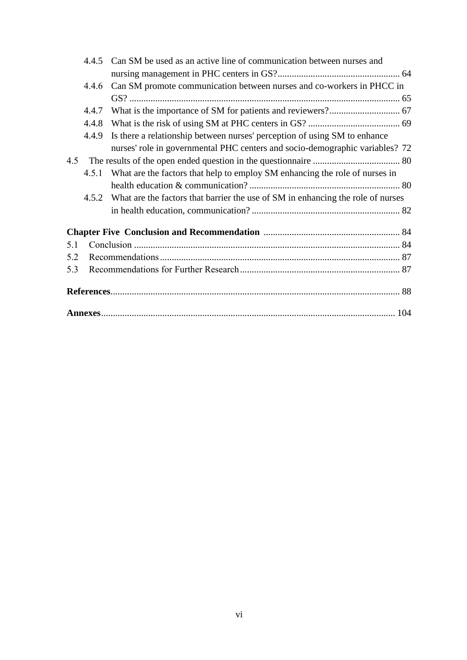|     | 4.4.5 | Can SM be used as an active line of communication between nurses and                  |
|-----|-------|---------------------------------------------------------------------------------------|
|     |       |                                                                                       |
|     | 4.4.6 | Can SM promote communication between nurses and co-workers in PHCC in                 |
|     |       |                                                                                       |
|     | 4.4.7 |                                                                                       |
|     | 4.4.8 |                                                                                       |
|     | 4.4.9 | Is there a relationship between nurses' perception of using SM to enhance             |
|     |       | nurses' role in governmental PHC centers and socio-demographic variables? 72          |
| 4.5 |       |                                                                                       |
|     |       | 4.5.1 What are the factors that help to employ SM enhancing the role of nurses in     |
|     |       |                                                                                       |
|     |       | 4.5.2 What are the factors that barrier the use of SM in enhancing the role of nurses |
|     |       |                                                                                       |
|     |       |                                                                                       |
| 5.1 |       |                                                                                       |
| 5.2 |       |                                                                                       |
| 5.3 |       |                                                                                       |
|     |       |                                                                                       |
|     |       |                                                                                       |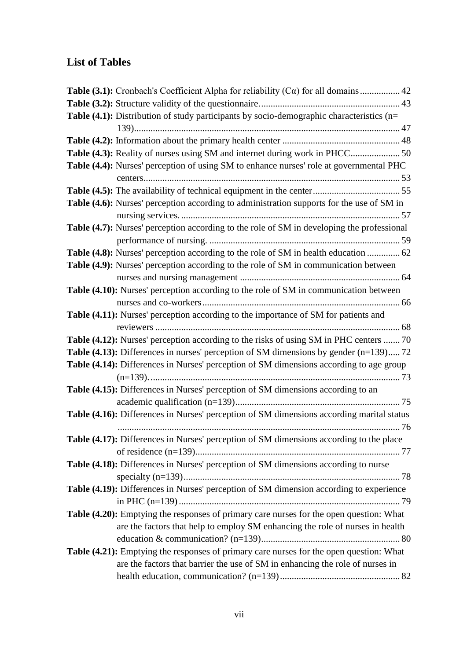#### <span id="page-10-0"></span>**List of Tables**

| <b>Table (3.1):</b> Cronbach's Coefficient Alpha for reliability $(C\alpha)$ for all domains  42 |  |
|--------------------------------------------------------------------------------------------------|--|
|                                                                                                  |  |
| Table (4.1): Distribution of study participants by socio-demographic characteristics (n=         |  |
|                                                                                                  |  |
|                                                                                                  |  |
| Table (4.3): Reality of nurses using SM and internet during work in PHCC 50                      |  |
| Table (4.4): Nurses' perception of using SM to enhance nurses' role at governmental PHC          |  |
|                                                                                                  |  |
|                                                                                                  |  |
| <b>Table (4.6):</b> Nurses' perception according to administration supports for the use of SM in |  |
|                                                                                                  |  |
| Table (4.7): Nurses' perception according to the role of SM in developing the professional       |  |
|                                                                                                  |  |
| Table (4.8): Nurses' perception according to the role of SM in health education  62              |  |
| Table (4.9): Nurses' perception according to the role of SM in communication between             |  |
|                                                                                                  |  |
| Table (4.10): Nurses' perception according to the role of SM in communication between            |  |
|                                                                                                  |  |
| Table (4.11): Nurses' perception according to the importance of SM for patients and              |  |
|                                                                                                  |  |
| <b>Table (4.12):</b> Nurses' perception according to the risks of using SM in PHC centers  70    |  |
| <b>Table (4.13):</b> Differences in nurses' perception of SM dimensions by gender $(n=139)$ 72   |  |
| <b>Table (4.14):</b> Differences in Nurses' perception of SM dimensions according to age group   |  |
|                                                                                                  |  |
| Table (4.15): Differences in Nurses' perception of SM dimensions according to an                 |  |
|                                                                                                  |  |
| Table (4.16): Differences in Nurses' perception of SM dimensions according marital status        |  |
|                                                                                                  |  |
| Table (4.17): Differences in Nurses' perception of SM dimensions according to the place          |  |
|                                                                                                  |  |
| Table (4.18): Differences in Nurses' perception of SM dimensions according to nurse              |  |
|                                                                                                  |  |
| Table (4.19): Differences in Nurses' perception of SM dimension according to experience          |  |
|                                                                                                  |  |
| Table (4.20): Emptying the responses of primary care nurses for the open question: What          |  |
| are the factors that help to employ SM enhancing the role of nurses in health                    |  |
|                                                                                                  |  |
| Table (4.21): Emptying the responses of primary care nurses for the open question: What          |  |
| are the factors that barrier the use of SM in enhancing the role of nurses in                    |  |
|                                                                                                  |  |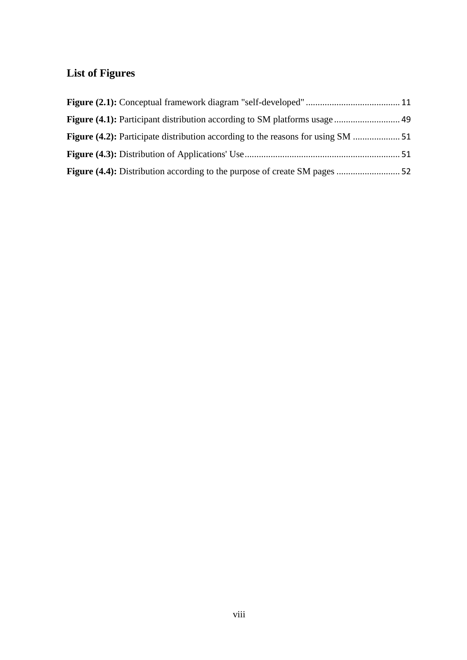#### <span id="page-11-0"></span>**List of Figures**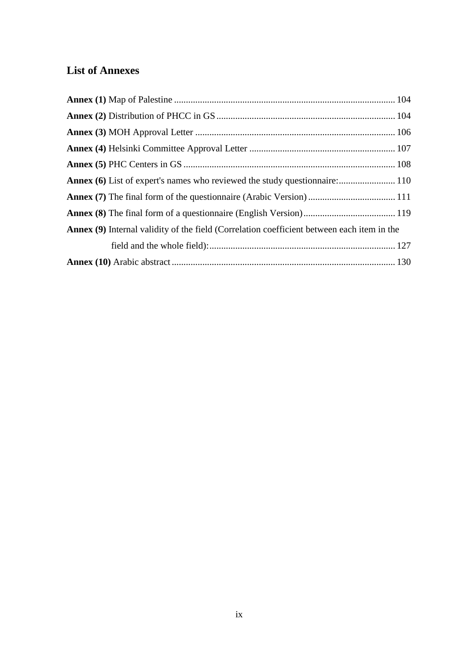#### <span id="page-12-0"></span>**List of Annexes**

| <b>Annex (9)</b> Internal validity of the field (Correlation coefficient between each item in the |  |
|---------------------------------------------------------------------------------------------------|--|
|                                                                                                   |  |
|                                                                                                   |  |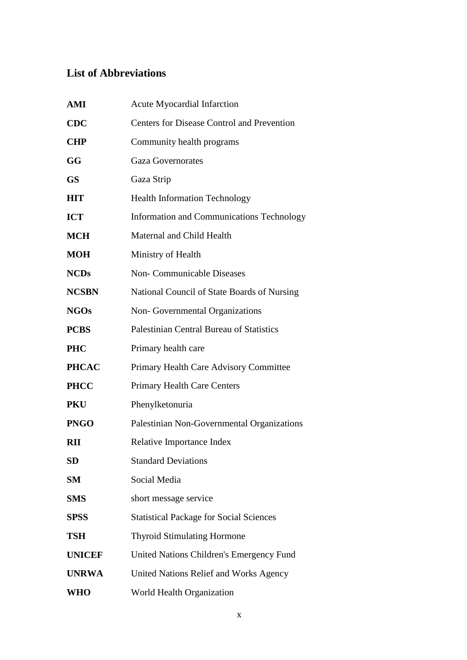#### <span id="page-13-0"></span>**List of Abbreviations**

| AMI           | <b>Acute Myocardial Infarction</b>                |
|---------------|---------------------------------------------------|
| <b>CDC</b>    | <b>Centers for Disease Control and Prevention</b> |
| <b>CHP</b>    | Community health programs                         |
| GG            | <b>Gaza Governorates</b>                          |
| <b>GS</b>     | Gaza Strip                                        |
| <b>HIT</b>    | <b>Health Information Technology</b>              |
| <b>ICT</b>    | <b>Information and Communications Technology</b>  |
| <b>MCH</b>    | Maternal and Child Health                         |
| <b>MOH</b>    | Ministry of Health                                |
| <b>NCDs</b>   | <b>Non-Communicable Diseases</b>                  |
| <b>NCSBN</b>  | National Council of State Boards of Nursing       |
| <b>NGOs</b>   | Non-Governmental Organizations                    |
| <b>PCBS</b>   | <b>Palestinian Central Bureau of Statistics</b>   |
| <b>PHC</b>    | Primary health care                               |
| <b>PHCAC</b>  | Primary Health Care Advisory Committee            |
| <b>PHCC</b>   | <b>Primary Health Care Centers</b>                |
| <b>PKU</b>    | Phenylketonuria                                   |
| <b>PNGO</b>   | Palestinian Non-Governmental Organizations        |
| <b>RII</b>    | Relative Importance Index                         |
| SD            | <b>Standard Deviations</b>                        |
| SM            | Social Media                                      |
| <b>SMS</b>    | short message service                             |
| <b>SPSS</b>   | <b>Statistical Package for Social Sciences</b>    |
| <b>TSH</b>    | <b>Thyroid Stimulating Hormone</b>                |
| <b>UNICEF</b> | United Nations Children's Emergency Fund          |
| <b>UNRWA</b>  | United Nations Relief and Works Agency            |
| <b>WHO</b>    | World Health Organization                         |
|               |                                                   |